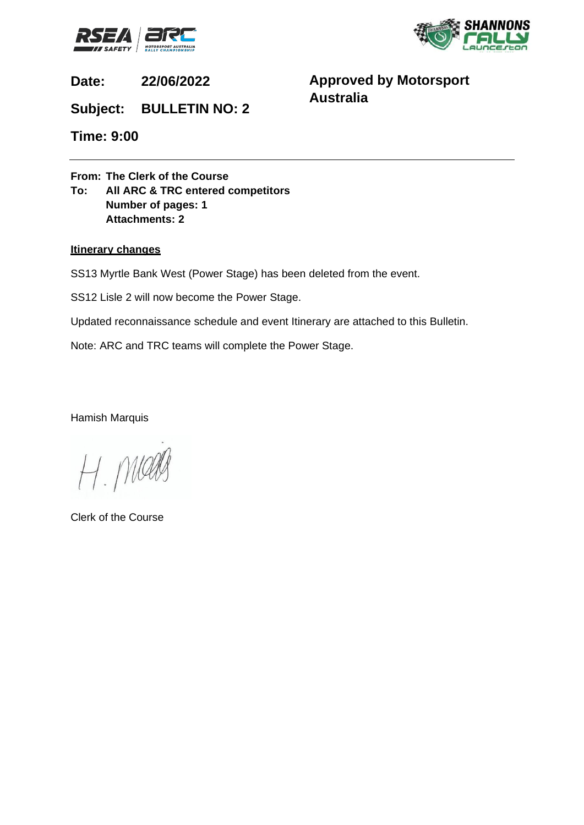



**Date: 22/06/2022**

**Approved by Motorsport Australia**

**Subject: BULLETIN NO: 2**

**Time: 9:00**

**From: The Clerk of the Course To: All ARC & TRC entered competitors Number of pages: 1 Attachments: 2**

## **Itinerary changes**

SS13 Myrtle Bank West (Power Stage) has been deleted from the event.

SS12 Lisle 2 will now become the Power Stage.

Updated reconnaissance schedule and event Itinerary are attached to this Bulletin.

Note: ARC and TRC teams will complete the Power Stage.

Hamish Marquis

H. Maag

Clerk of the Course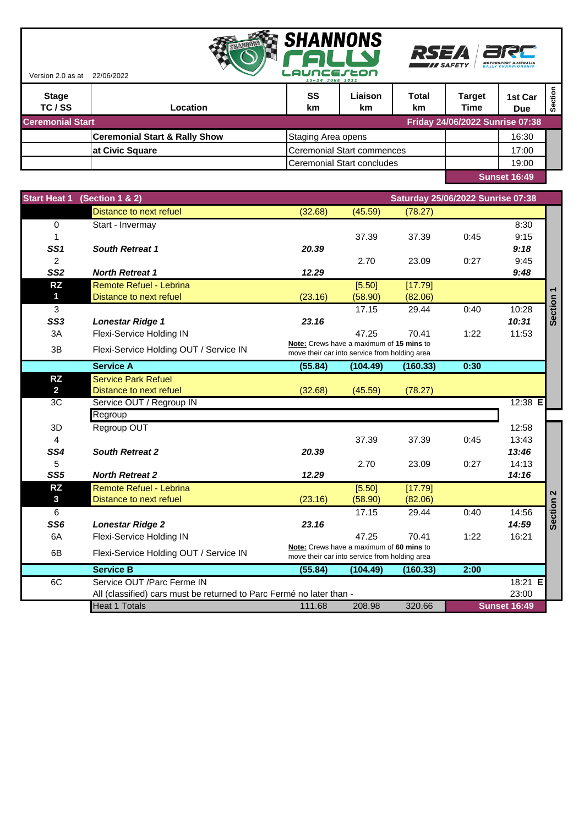



| Version 2.0 as at       | 22/06/2022                               |                     | LAUNCESEON<br>25-26 JUNE 2022 |              |                                 |                |         |
|-------------------------|------------------------------------------|---------------------|-------------------------------|--------------|---------------------------------|----------------|---------|
| <b>Stage</b><br>TC/SS   | Location                                 | SS<br>km            | Liaison<br><b>km</b>          | Total<br>km. | <b>Target</b><br><b>Time</b>    | 1st Car<br>Due | Section |
| <b>Ceremonial Start</b> |                                          |                     |                               |              | Friday 24/06/2022 Sunrise 07:38 |                |         |
|                         | <b>Ceremonial Start &amp; Rally Show</b> |                     | Staging Area opens            |              |                                 | 16:30          |         |
|                         | at Civic Square                          |                     | Ceremonial Start commences    |              |                                 | 17:00          |         |
|                         |                                          |                     | Ceremonial Start concludes    |              |                                 | 19:00          |         |
|                         |                                          | <b>Sunset 16:49</b> |                               |              |                                 |                |         |

|                 | Start Heat 1 (Section 1 & 2)                                         |                                                                                           | Saturday 25/06/2022 Sunrise 07:38        |          |      |                     |                      |  |
|-----------------|----------------------------------------------------------------------|-------------------------------------------------------------------------------------------|------------------------------------------|----------|------|---------------------|----------------------|--|
|                 | Distance to next refuel                                              | (32.68)                                                                                   | (45.59)                                  | (78.27)  |      |                     |                      |  |
| $\pmb{0}$       | Start - Invermay                                                     |                                                                                           |                                          |          |      | 8:30                |                      |  |
| 1               |                                                                      |                                                                                           | 37.39                                    | 37.39    | 0:45 | 9:15                |                      |  |
| SS <sub>1</sub> | <b>South Retreat 1</b>                                               | 20.39                                                                                     |                                          |          |      | 9:18                |                      |  |
| 2               |                                                                      |                                                                                           | 2.70                                     | 23.09    | 0:27 | 9:45                |                      |  |
| SS <sub>2</sub> | <b>North Retreat 1</b>                                               | 12.29                                                                                     |                                          |          |      | 9:48                |                      |  |
| <b>RZ</b>       | <b>Remote Refuel - Lebrina</b>                                       |                                                                                           | [5.50]                                   | [17.79]  |      |                     |                      |  |
| $\mathbf 1$     | Distance to next refuel                                              | (23.16)                                                                                   | (58.90)                                  | (82.06)  |      |                     | Section <sub>1</sub> |  |
| 3               |                                                                      |                                                                                           | 17.15                                    | 29.44    | 0:40 | 10:28               |                      |  |
| SS3             | <b>Lonestar Ridge 1</b>                                              | 23.16                                                                                     |                                          |          |      | 10:31               |                      |  |
| 3A              | Flexi-Service Holding IN                                             |                                                                                           | 47.25                                    | 70.41    | 1:22 | 11:53               |                      |  |
| 3B              | Flexi-Service Holding OUT / Service IN                               | Note: Crews have a maximum of 15 mins to<br>move their car into service from holding area |                                          |          |      |                     |                      |  |
|                 | <b>Service A</b>                                                     | (55.84)                                                                                   | (104.49)                                 | (160.33) | 0:30 |                     |                      |  |
| <b>RZ</b>       | <b>Service Park Refuel</b>                                           |                                                                                           |                                          |          |      |                     |                      |  |
| $\overline{2}$  | Distance to next refuel                                              | (32.68)                                                                                   | (45.59)                                  | (78.27)  |      |                     |                      |  |
| 3C              | Service OUT / Regroup IN                                             |                                                                                           |                                          |          |      | 12:38 E             |                      |  |
|                 | Regroup                                                              |                                                                                           |                                          |          |      |                     |                      |  |
| 3D              | Regroup OUT                                                          |                                                                                           |                                          |          |      | 12:58               |                      |  |
| 4               |                                                                      |                                                                                           | 37.39                                    | 37.39    | 0:45 | 13:43               |                      |  |
| SS4             | <b>South Retreat 2</b>                                               | 20.39                                                                                     |                                          |          |      | 13:46               |                      |  |
| 5               |                                                                      |                                                                                           | 2.70                                     | 23.09    | 0:27 | 14:13               |                      |  |
| SS <sub>5</sub> | <b>North Retreat 2</b>                                               | 12.29                                                                                     |                                          |          |      | 14:16               |                      |  |
| <b>RZ</b>       | Remote Refuel - Lebrina                                              |                                                                                           | [5.50]                                   | [17.79]  |      |                     |                      |  |
| $\mathbf{3}$    | Distance to next refuel                                              | (23.16)                                                                                   | (58.90)                                  | (82.06)  |      |                     |                      |  |
| 6               |                                                                      |                                                                                           | 17.15                                    | 29.44    | 0:40 | 14:56               | Section <sub>2</sub> |  |
| SS6             | <b>Lonestar Ridge 2</b>                                              | 23.16                                                                                     |                                          |          |      | 14:59               |                      |  |
| 6A              | Flexi-Service Holding IN                                             |                                                                                           | 47.25                                    | 70.41    | 1:22 | 16:21               |                      |  |
| 6B              | Flexi-Service Holding OUT / Service IN                               |                                                                                           | Note: Crews have a maximum of 60 mins to |          |      |                     |                      |  |
|                 |                                                                      | move their car into service from holding area                                             |                                          |          |      |                     |                      |  |
|                 | <b>Service B</b>                                                     | (55.84)                                                                                   | (104.49)                                 | (160.33) | 2:00 |                     |                      |  |
| 6C              | Service OUT /Parc Ferme IN                                           |                                                                                           |                                          |          |      | 18:21 E             |                      |  |
|                 | All (classified) cars must be returned to Parc Fermé no later than - |                                                                                           |                                          |          |      | 23:00               |                      |  |
|                 | <b>Heat 1 Totals</b>                                                 | 111.68                                                                                    | 208.98                                   | 320.66   |      | <b>Sunset 16:49</b> |                      |  |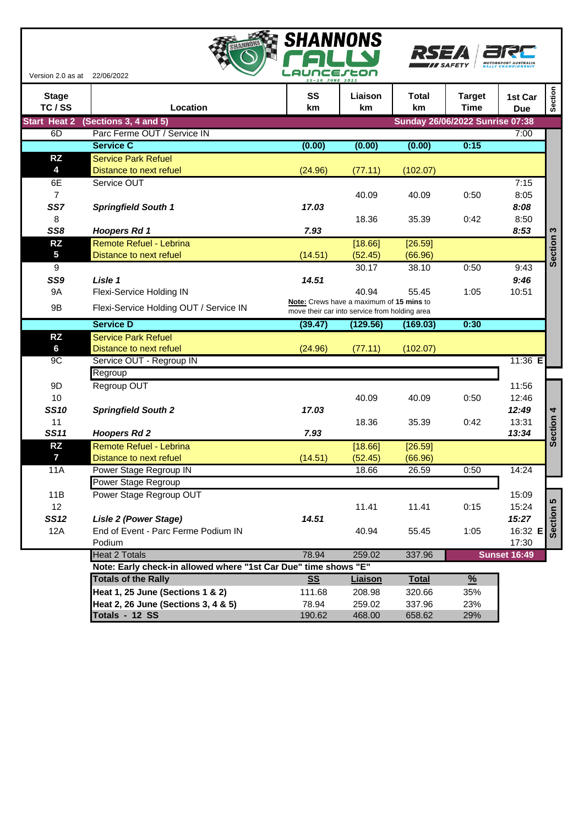



**Section**

**Section 3**

**Section 4**

**Section 5**

**Sunset 16:49** 

| Version 2.0 as at 22/06/2022 |                                        | AUNCESŁON<br>25-26 JUNE 2022                                                              |               |                                 | <i>w</i> safeit              | <b>RALLY CHAMPIONSHIP</b> |  |
|------------------------------|----------------------------------------|-------------------------------------------------------------------------------------------|---------------|---------------------------------|------------------------------|---------------------------|--|
| <b>Stage</b><br>TC/SS        | Location                               | SS<br>km                                                                                  | Liaison<br>km | <b>Total</b><br>km              | <b>Target</b><br><b>Time</b> | 1st Car<br><b>Due</b>     |  |
| <b>Start Heat 2</b>          | (Sections 3, 4 and 5)                  |                                                                                           |               | Sunday 26/06/2022 Sunrise 07:38 |                              |                           |  |
| 6D                           | Parc Ferme OUT / Service IN            |                                                                                           |               |                                 |                              | 7:00                      |  |
|                              | <b>Service C</b>                       | (0.00)                                                                                    | (0.00)        | (0.00)                          | 0:15                         |                           |  |
| <b>RZ</b>                    | <b>Service Park Refuel</b>             |                                                                                           |               |                                 |                              |                           |  |
| 4                            | Distance to next refuel                | (24.96)                                                                                   | (77.11)       | (102.07)                        |                              |                           |  |
| 6E                           | Service OUT                            |                                                                                           |               |                                 |                              | 7:15                      |  |
| $\overline{7}$               |                                        |                                                                                           | 40.09         | 40.09                           | 0:50                         | 8:05                      |  |
| SS7                          | <b>Springfield South 1</b>             | 17.03                                                                                     |               |                                 |                              | 8:08                      |  |
| 8                            |                                        |                                                                                           | 18.36         | 35.39                           | 0:42                         | 8:50                      |  |
| SS8                          | <b>Hoopers Rd 1</b>                    | 7.93                                                                                      |               |                                 |                              | 8:53                      |  |
| <b>RZ</b>                    | <b>Remote Refuel - Lebrina</b>         |                                                                                           | [18.66]       | [26.59]                         |                              |                           |  |
| $5\phantom{.0}$              | Distance to next refuel                | (14.51)                                                                                   | (52.45)       | (66.96)                         |                              |                           |  |
| 9                            |                                        |                                                                                           | 30.17         | 38.10                           | 0:50                         | 9:43                      |  |
| SS9                          | Lisle 1                                | 14.51                                                                                     |               |                                 |                              | 9:46                      |  |
| <b>9A</b>                    | Flexi-Service Holding IN               |                                                                                           | 40.94         | 55.45                           | 1:05                         | 10:51                     |  |
| 9B                           | Flexi-Service Holding OUT / Service IN | Note: Crews have a maximum of 15 mins to<br>move their car into service from holding area |               |                                 |                              |                           |  |
|                              | <b>Service D</b>                       | (39.47)                                                                                   | (129.56)      | (169.03)                        | 0:30                         |                           |  |
| <b>RZ</b>                    | <b>Service Park Refuel</b>             |                                                                                           |               |                                 |                              |                           |  |
| 6                            | Distance to next refuel                | (24.96)                                                                                   | (77.11)       | (102.07)                        |                              |                           |  |
| 9C                           | Service OUT - Regroup IN               |                                                                                           |               |                                 |                              | 11:36 E                   |  |
|                              | Regroup                                |                                                                                           |               |                                 |                              |                           |  |
| 9D                           | Regroup OUT                            |                                                                                           |               |                                 |                              | 11:56                     |  |
| 10                           |                                        |                                                                                           | 40.09         | 40.09                           | 0:50                         | 12:46                     |  |
| <b>SS10</b>                  | <b>Springfield South 2</b>             | 17.03                                                                                     |               |                                 |                              | 12:49                     |  |
| 11                           |                                        |                                                                                           | 18.36         | 35.39                           | 0:42                         | 13:31                     |  |
| <b>SS11</b>                  | <b>Hoopers Rd 2</b>                    | 7.93                                                                                      |               |                                 |                              | 13:34                     |  |
| <b>RZ</b>                    | Remote Refuel - Lebrina                |                                                                                           | [18.66]       | [26.59]                         |                              |                           |  |

Distance to next refuel (14.51) (52.45) (66.96)

Heat 2 Totals 78.94 259.02 337.96

**Note: Early check-in allowed where "1st Car Due" time shows "E"**

Power Stage Regroup

**7**

11A Power Stage Regroup IN 18.66 26.59 0:50 14:24

11B Power Stage Regroup OUT **15:09** Power Stage Regroup OUT 12 11.41 11.41 0:15 15:24 *SS12 Lisle 2 (Power Stage) 14.51 15:27* 12A End of Event - Parc Ferme Podium IN 40.94 55.45 1:05 16:32 **E**

**Totals of the Rally SS Liaison Total % Heat 1, 25 June (Sections 1 & 2)** 111.68 208.98 320.66 35% **Heat 2, 26 June (Sections 3, 4 & 5)** 78.94 259.02 337.96 23% **Totals - 12 SS** 190.62 468.00 658.62 29%

Podium 17:30